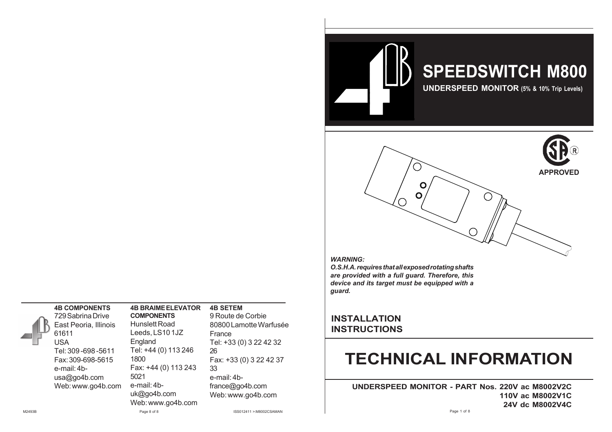

#### *WARNING:*

*O.S.H.A. requires that all exposed rotating shafts are provided with a full guard. Therefore, this device and its target must be equipped with a guard.*

## **INSTALLATION INSTRUCTIONS**

# **TECHNICAL INFORMATION**

**UNDERSPEED MONITOR - PART Nos. 220V ac M8002V2C UNDERSPEED MONITOR - PART NO. 110V ac M8002V1C UNDERSPEED MONITOR - PART NO. 24V dc M8002V4C**

## **4B COMPONENTS**

USA

729 Sabrina Drive East Peoria, Illinois 61611 Tel: 309 -698 -5611 Fax: 309-698-5615 e-mail: 4busa@go4b.com Web: www.go4b.com

## **4B BRAIME ELEVATOR**

**COMPONENTS** Hunslett Road Leeds, LS10 1JZ England Tel: +44 (0) 113 246 1800 Fax: +44 (0) 113 243 5021 e-mail: 4buk@go4b.com Web: www.go4b.com

## **4B SETEM**

France 26 33 Web: www.go4b.com

## 9 Route de Corbie 80800 Lamotte Warfusée Tel: +33 (0) 3 22 42 32 Fax: +33 (0) 3 22 42 37 e-mail: 4bfrance@go4b.com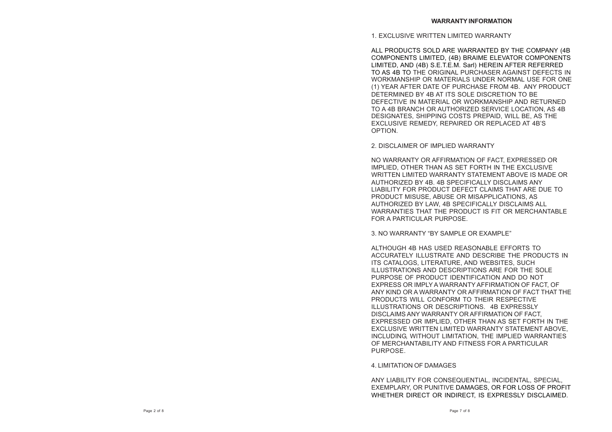1. EXCLUSIVE WRITTEN LIMITED WARRANTY

ALL PRODUCTS SOLD ARE WARRANTED BY THE COMPANY (4B COMPONENTS LIMITED, (4B) BRAIME ELEVATOR COMPONENTS LIMITED, AND (4B) S.E.T.E.M. Sarl) HEREIN AFTER REFERRED TO AS 4B TO THE ORIGINAL PURCHASER AGAINST DEFECTS IN WORKMANSHIP OR MATERIALS UNDER NORMAL USE FOR ONE (1) YEAR AFTER DATE OF PURCHASE FROM 4B. ANY PRODUCT DETERMINED BY 4B AT ITS SOLE DISCRETION TO BE DEFECTIVE IN MATERIAL OR WORKMANSHIP AND RETURNED TO A 4B BRANCH OR AUTHORIZED SERVICE LOCATION, AS 4B DESIGNATES, SHIPPING COSTS PREPAID, WILL BE, AS THE EXCLUSIVE REMEDY, REPAIRED OR REPLACED AT 4B'S OPTION.

2. DISCLAIMER OF IMPLIED WARRANTY

NO WARRANTY OR AFFIRMATION OF FACT, EXPRESSED OR IMPLIED, OTHER THAN AS SET FORTH IN THE EXCLUSIVE WRITTEN LIMITED WARRANTY STATEMENT ABOVE IS MADE OR AUTHORIZED BY 4B. 4B SPECIFICALLY DISCLAIMS ANY LIABILITY FOR PRODUCT DEFECT CLAIMS THAT ARE DUE TO PRODUCT MISUSE, ABUSE OR MISAPPLICATIONS, AS AUTHORIZED BY LAW, 4B SPECIFICALLY DISCLAIMS ALL WARRANTIES THAT THE PRODUCT IS FIT OR MERCHANTABLE FOR A PARTICULAR PURPOSE.

3. NO WARRANTY "BY SAMPLE OR EXAMPLE"

ALTHOUGH 4B HAS USED REASONABLE EFFORTS TO ACCURATELY ILLUSTRATE AND DESCRIBE THE PRODUCTS IN ITS CATALOGS, LITERATURE, AND WEBSITES, SUCH ILLUSTRATIONS AND DESCRIPTIONS ARE FOR THE SOLE PURPOSE OF PRODUCT IDENTIFICATION AND DO NOT EXPRESS OR IMPLY A WARRANTY AFFIRMATION OF FACT, OF ANY KIND OR A WARRANTY OR AFFIRMATION OF FACT THAT THE PRODUCTS WILL CONFORM TO THEIR RESPECTIVE ILLUSTRATIONS OR DESCRIPTIONS. 4B EXPRESSLY DISCLAIMS ANY WARRANTY OR AFFIRMATION OF FACT, EXPRESSED OR IMPLIED, OTHER THAN AS SET FORTH IN THE EXCLUSIVE WRITTEN LIMITED WARRANTY STATEMENT ABOVE, INCLUDING, WITHOUT LIMITATION, THE IMPLIED WARRANTIES OF MERCHANTABILITY AND FITNESS FOR A PARTICULAR PURPOSE.

4. LIMITATION OF DAMAGES

ANY LIABILITY FOR CONSEQUENTIAL, INCIDENTAL, SPECIAL, EXEMPLARY, OR PUNITIVE DAMAGES, OR FOR LOSS OF PROFIT WHETHER DIRECT OR INDIRECT, IS EXPRESSLY DISCLAIMED.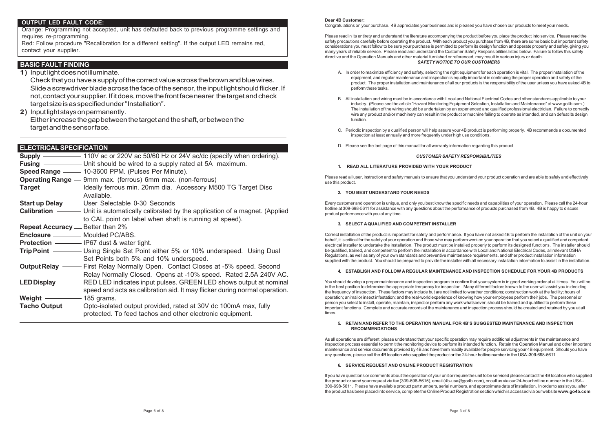### **OUTPUT LED FAULT CODE:**

Orange: Programming not accepted, unit has defaulted back to previous programme settings and requires re-programming.

Red: Follow procedure "Recalibration for a different setting". If the output LED remains red, contact your supplier.

## **BASIC FAULT FINDING**

**1)** Input light does not illuminate.

Check that you have a supply of the correct value across the brown and blue wires. Slide a screwdriver blade across the face of the sensor, the input light should flicker. If not, contact your supplier. If it does, move the front face nearer the target and check target size is as specified under "Installation".

**2)** Input light stays on permanently. Either increase the gap between the target and the shaft, or between the target and the sensor face.

## **ELECTRICAL SPECIFICATION**

| ELEU I RIUAL SPEUIFIUA I IUN                 |                                                                                                 |
|----------------------------------------------|-------------------------------------------------------------------------------------------------|
|                                              | <b>Supply</b> $\frac{1}{100}$ 110V ac or 220V ac 50/60 Hz or 24V ac/dc (specify when ordering). |
|                                              | <b>Fusing</b> ________________ Unit should be wired to a supply rated at 5A maximum.            |
|                                              | Speed Range - 10-3600 PPM. (Pulses Per Minute).                                                 |
|                                              | <b>Operating Range</b> — 9mm max. (ferrous) 6mm max. (non-ferrous)                              |
|                                              | <b>Target</b> — <b>— </b> Ideally ferrous min. 20mm dia. Accessory M500 TG Target Disc          |
|                                              | Available.                                                                                      |
|                                              | <b>Start up Delay</b> - User Selectable 0-30 Seconds                                            |
|                                              | <b>Calibration</b> — Unit is automatically calibrated by the application of a magnet. (Applied  |
|                                              | to CAL point on label when shaft is running at speed).                                          |
| <b>Repeat Accuracy</b> — Better than 2%      |                                                                                                 |
| <b>Enclosure</b> ___________ Moulded PC/ABS. |                                                                                                 |
|                                              | <b>Protection</b> - IP67 dust & water tight.                                                    |
|                                              |                                                                                                 |
|                                              | Set Points both 5% and 10% underspeed.                                                          |
|                                              | <b>Output Relay</b> ——— First Relay Normally Open. Contact Closes at -5% speed. Second          |
|                                              | Relay Normally Closed. Opens at -10% speed. Rated 2.5A 240V AC.                                 |
|                                              | <b>LED Display</b> ———— RED LED indicates input pulses. GREEN LED shows output at nominal       |
|                                              | speed and acts as calibration aid. It may flicker during normal operation.                      |
| Weight $\frac{1}{2}$ 185 grams.              |                                                                                                 |
|                                              | Tacho Output - Opto-isolated output provided, rated at 30V dc 100mA max, fully                  |
|                                              | protected. To feed tachos and other electronic equipment.                                       |

#### **Dear 4B Customer:**

Congratulations on your purchase. 4B appreciates your business and is pleased you have chosen our products to meet your needs.

Please read in its entirety and understand the literature accompanying the product before you place the product into service. Please read the safety precautions carefully before operating the product. With each product you purchase from 4B, there are some basic but important safety considerations you must follow to be sure your purchase is permitted to perform its design function and operate properly and safely, giving you many years of reliable service. Please read and understand the Customer Safety Responsibilities listed below. Failure to follow this safety directive and the Operation Manuals and other material furnished or referenced, may result in serious injury or death. *SAFETY NOTICE TO OUR CUSTOMERS*

- A. In order to maximize efficiency and safety, selecting the right equipment for each operation is vital. The proper installation of the equipment, and regular maintenance and inspection is equally important in continuing the proper operation and safety of the product. The proper installation and maintenance of all our products is the responsibility of the user unless you have asked 4B to perform these tasks.
- B. All installation and wiring must be in accordance with Local and National Electrical Codes and other standards applicable to your industry. (Please see the article "Hazard Monitoring Equipment Selection, Installation and Maintenance" at www.go4b.com.) The installation of the wiring should be undertaken by an experienced and qualified professional electrician. Failure to correctly wire any product and/or machinery can result in the product or machine failing to operate as intended, and can defeat its design function.
- C. Periodic inspection by a qualified person will help assure your 4B product is performing properly. 4B recommends a documented inspection at least annually and more frequently under high use conditions.
- D. Please see the last page of this manual for all warranty information regarding this product.

#### *CUSTOMER SAFETY RESPONSIBILITIES*

#### **1. READ ALL LITERATURE PROVIDED WITH YOUR PRODUCT**

Please read all user, instruction and safety manuals to ensure that you understand your product operation and are able to safely and effectively use this product.

#### **2. YOU BEST UNDERSTAND YOUR NEEDS**

Every customer and operation is unique, and only you best know the specific needs and capabilities of your operation. Please call the 24-hour hotline at 309-698-5611 for assistance with any questions about the performance of products purchased from 4B. 4B is happy to discuss product performance with you at any time.

#### **3. SELECT A QUALIFIED AND COMPETENT INSTALLER**

Correct installation of the product is important for safety and performance. If you have not asked 4B to perform the installation of the unit on your behalf, it is critical for the safety of your operation and those who may perform work on your operation that you select a qualified and competent electrical installer to undertake the installation. The product must be installed properly to perform its designed functions. The installer should be qualified, trained, and competent to perform the installation in accordance with Local and National Electrical Codes, all relevant OSHA Regulations, as well as any of your own standards and preventive maintenance requirements, and other product installation information supplied with the product. You should be prepared to provide the installer with all necessary installation information to assist in the installation.

#### **4. ESTABLISH AND FOLLOW A REGULAR MAINTENANCE AND INSPECTION SCHEDULE FOR YOUR 4B PRODUCTS**

You should develop a proper maintenance and inspection program to confirm that your system is in good working order at all times. You will be in the best position to determine the appropriate frequency for inspection. Many different factors known to the user will assist you in deciding the frequency of inspection. These factors may include but are not limited to weather conditions; construction work at the facility; hours of operation; animal or insect infestation; and the real-world experience of knowing how your employees perform their jobs. The personnel or person you select to install, operate, maintain, inspect or perform any work whatsoever, should be trained and qualified to perform these important functions. Complete and accurate records of the maintenance and inspection process should be created and retained by you at all times.

#### **5. RETAIN AND REFER TO THE OPERATION MANUAL FOR 4B'S SUGGESTED MAINTENANCE AND INSPECTION RECOMMENDATIONS**

As all operations are different, please understand that your specific operation may require additional adjustments in the maintenance and inspection process essential to permit the monitoring device to perform its intended function. Retain the Operation Manual and other important maintenance and service documents provided by 4B and have them readily available for people servicing your 4B equipment. Should you have any questions, please call the 4B location who supplied the product or the 24-hour hotline number in the USA -309-698-5611.

#### **6. SERVICE REQUEST AND ONLINE PRODUCT REGISTRATION**

If you have questions or comments about the operation of your unit or require the unit to be serviced please contact the 4B location who supplied the product or send your request via fax (309-698-5615), email (4b-usa@go4b.com), or call us via our 24-hour hotline number in the USA-309-698-5611. Please have available product part numbers, serial numbers, and approximate date of installation. In order to assist you, after the product has been placed into service, complete the Online Product Registration section which is accessed via our website **www.go4b.com**